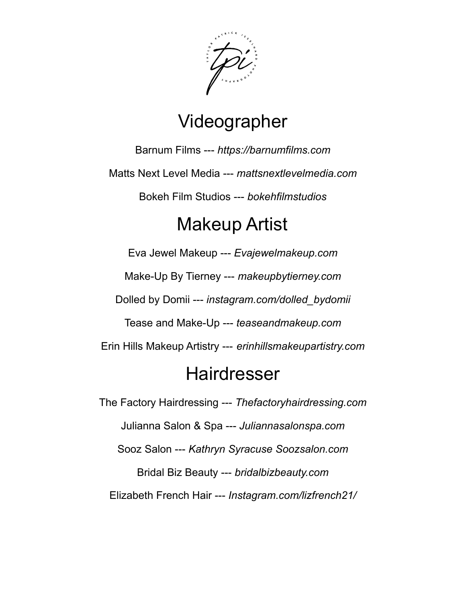

### Videographer

Barnum Films --- *https://barnumfilms.com* Matts Next Level Media --- *mattsnextlevelmedia.com* Bokeh Film Studios --- *bokehfilmstudios*

### Makeup Artist

Eva Jewel Makeup --- *Evajewelmakeup.com* Make-Up By Tierney --- *makeupbytierney.com* Dolled by Domii --- *instagram.com/dolled\_bydomii* Tease and Make-Up --- *teaseandmakeup.com* Erin Hills Makeup Artistry --- *erinhillsmakeupartistry.com*

#### **Hairdresser**

The Factory Hairdressing --- *Thefactoryhairdressing.com* Julianna Salon & Spa --- *Juliannasalonspa.com* Sooz Salon --- *Kathryn Syracuse Soozsalon.com* Bridal Biz Beauty --- *bridalbizbeauty.com* Elizabeth French Hair --- *Instagram.com/lizfrench21/*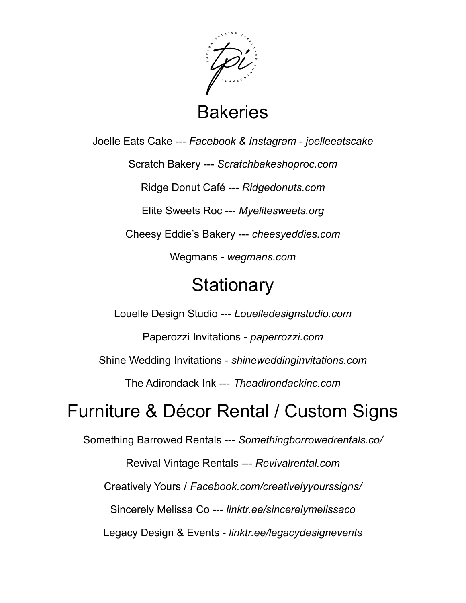

**Bakeries** 

Joelle Eats Cake --- *Facebook & Instagram - joelleeatscake*

Scratch Bakery --- *Scratchbakeshoproc.com*

Ridge Donut Café --- *Ridgedonuts.com*

Elite Sweets Roc --- *Myelitesweets.org*

Cheesy Eddie's Bakery --- *cheesyeddies.com*

Wegmans - *wegmans.com*

#### **Stationary**

Louelle Design Studio --- *Louelledesignstudio.com*

Paperozzi Invitations - *paperrozzi.com*

Shine Wedding Invitations - *shineweddinginvitations.com*

The Adirondack Ink --- *Theadirondackinc.com*

### Furniture & Décor Rental / Custom Signs

Something Barrowed Rentals --- *Somethingborrowedrentals.co/*

Revival Vintage Rentals --- *Revivalrental.com*

Creatively Yours / *Facebook.com/creativelyyourssigns/*

Sincerely Melissa Co --- *linktr.ee/sincerelymelissaco*

Legacy Design & Events - *linktr.ee/legacydesignevents*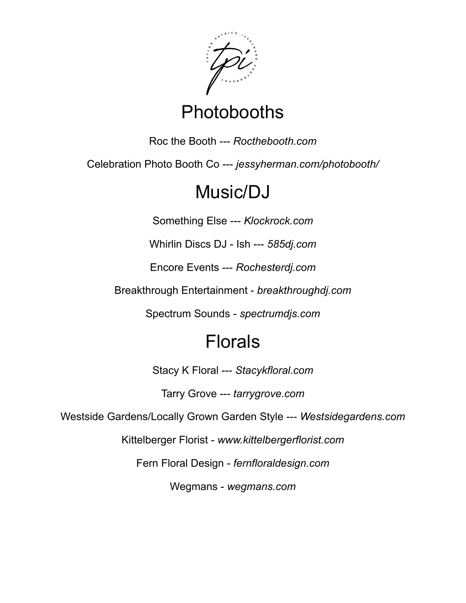

## **Photobooths**

Roc the Booth --- *Rocthebooth.com*

Celebration Photo Booth Co --- *jessyherman.com/photobooth/*

## Music/DJ

Something Else --- *Klockrock.com*

Whirlin Discs DJ - Ish --- *585dj.com*

Encore Events --- *Rochesterdj.com*

Breakthrough Entertainment - *breakthroughdj.com*

Spectrum Sounds - *spectrumdjs.com*

# Florals

Stacy K Floral --- *Stacykfloral.com*

Tarry Grove --- *tarrygrove.com*

Westside Gardens/Locally Grown Garden Style --- *Westsidegardens.com*

Kittelberger Florist - *www.kittelbergerflorist.com*

Fern Floral Design - *fernfloraldesign.com*

Wegmans - *wegmans.com*